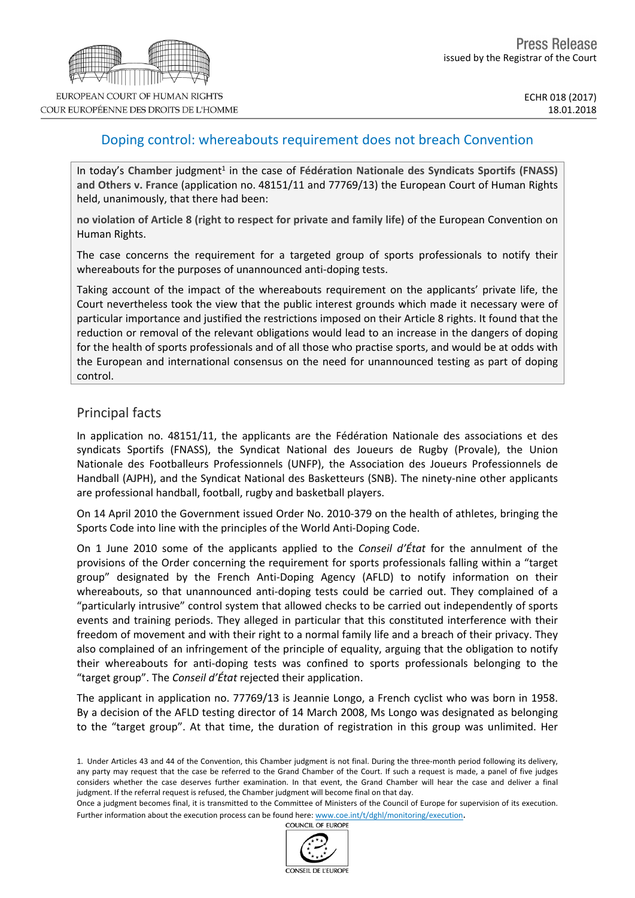# Doping control: whereabouts requirement does not breach Convention

In today's Chamber judgment<sup>1</sup> in the case of Fédération Nationale des Syndicats Sportifs (FNASS) **and Others v. France** (application no. 48151/11 and 77769/13) the European Court of Human Rights held, unanimously, that there had been:

**no violation of Article 8 (right to respect for private and family life)** of the European Convention on Human Rights.

The case concerns the requirement for a targeted group of sports professionals to notify their whereabouts for the purposes of unannounced anti-doping tests.

Taking account of the impact of the whereabouts requirement on the applicants' private life, the Court nevertheless took the view that the public interest grounds which made it necessary were of particular importance and justified the restrictions imposed on their Article 8 rights. It found that the reduction or removal of the relevant obligations would lead to an increase in the dangers of doping for the health of sports professionals and of all those who practise sports, and would be at odds with the European and international consensus on the need for unannounced testing as part of doping control.

# Principal facts

In application no. 48151/11, the applicants are the Fédération Nationale des associations et des syndicats Sportifs (FNASS), the Syndicat National des Joueurs de Rugby (Provale), the Union Nationale des Footballeurs Professionnels (UNFP), the Association des Joueurs Professionnels de Handball (AJPH), and the Syndicat National des Basketteurs (SNB). The ninety-nine other applicants are professional handball, football, rugby and basketball players.

On 14 April 2010 the Government issued Order No. 2010-379 on the health of athletes, bringing the Sports Code into line with the principles of the World Anti-Doping Code.

On 1 June 2010 some of the applicants applied to the *Conseil d'État* for the annulment of the provisions of the Order concerning the requirement for sports professionals falling within a "target group" designated by the French Anti-Doping Agency (AFLD) to notify information on their whereabouts, so that unannounced anti-doping tests could be carried out. They complained of a "particularly intrusive" control system that allowed checks to be carried out independently of sports events and training periods. They alleged in particular that this constituted interference with their freedom of movement and with their right to a normal family life and a breach of their privacy. They also complained of an infringement of the principle of equality, arguing that the obligation to notify their whereabouts for anti-doping tests was confined to sports professionals belonging to the "target group". The *Conseil d'État* rejected their application.

The applicant in application no. 77769/13 is Jeannie Longo, a French cyclist who was born in 1958. By a decision of the AFLD testing director of 14 March 2008, Ms Longo was designated as belonging to the "target group". At that time, the duration of registration in this group was unlimited. Her



<sup>1.</sup> Under Articles 43 and 44 of the Convention, this Chamber judgment is not final. During the three-month period following its delivery, any party may request that the case be referred to the Grand Chamber of the Court. If such a request is made, a panel of five judges considers whether the case deserves further examination. In that event, the Grand Chamber will hear the case and deliver a final judgment. If the referral request is refused, the Chamber judgment will become final on that day.

Once a judgment becomes final, it is transmitted to the Committee of Ministers of the Council of Europe for supervision of its execution. Further information about the execution process can be found here: [www.coe.int/t/dghl/monitoring/execution](http://www.coe.int/t/dghl/monitoring/execution).<br>COUNCIL OF EUROPE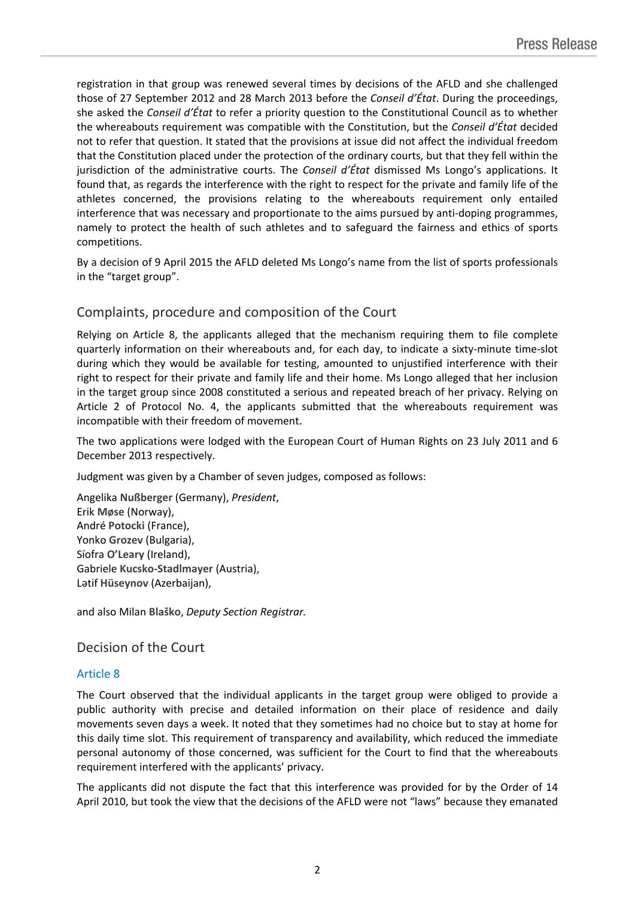registration in that group was renewed several times by decisions of the AFLD and she challenged those of 27 September 2012 and 28 March 2013 before the *Conseil d'État*. During the proceedings, she asked the *Conseil d'État* to refer a priority question to the Constitutional Council as to whether the whereabouts requirement was compatible with the Constitution, but the *Conseil d'État* decided not to refer that question. It stated that the provisions at issue did not affect the individual freedom that the Constitution placed under the protection of the ordinary courts, but that they fell within the jurisdiction of the administrative courts. The *Conseil d'État* dismissed Ms Longo's applications. It found that, as regards the interference with the right to respect for the private and family life of the athletes concerned, the provisions relating to the whereabouts requirement only entailed interference that was necessary and proportionate to the aims pursued by anti-doping programmes, namely to protect the health of such athletes and to safeguard the fairness and ethics of sports competitions.

By a decision of 9 April 2015 the AFLD deleted Ms Longo's name from the list of sports professionals in the "target group".

#### Complaints, procedure and composition of the Court

Relying on Article 8, the applicants alleged that the mechanism requiring them to file complete quarterly information on their whereabouts and, for each day, to indicate a sixty-minute time-slot during which they would be available for testing, amounted to unjustified interference with their right to respect for their private and family life and their home. Ms Longo alleged that her inclusion in the target group since 2008 constituted a serious and repeated breach of her privacy. Relying on Article 2 of Protocol No. 4, the applicants submitted that the whereabouts requirement was incompatible with their freedom of movement.

The two applications were lodged with the European Court of Human Rights on 23 July 2011 and 6 December 2013 respectively.

Judgment was given by a Chamber of seven judges, composed as follows:

Angelika **Nußberger** (Germany), *President*, Erik **Møse** (Norway), André **Potocki** (France), Yonko **Grozev** (Bulgaria), Síofra **O'Leary** (Ireland), Gabriele **Kucsko-Stadlmayer** (Austria), Lәtif **Hüseynov** (Azerbaijan),

and also Milan **Blaško**, *Deputy Section Registrar.*

# Decision of the Court

#### Article 8

The Court observed that the individual applicants in the target group were obliged to provide a public authority with precise and detailed information on their place of residence and daily movements seven days a week. It noted that they sometimes had no choice but to stay at home for this daily time slot. This requirement of transparency and availability, which reduced the immediate personal autonomy of those concerned, was sufficient for the Court to find that the whereabouts requirement interfered with the applicants' privacy.

The applicants did not dispute the fact that this interference was provided for by the Order of 14 April 2010, but took the view that the decisions of the AFLD were not "laws" because they emanated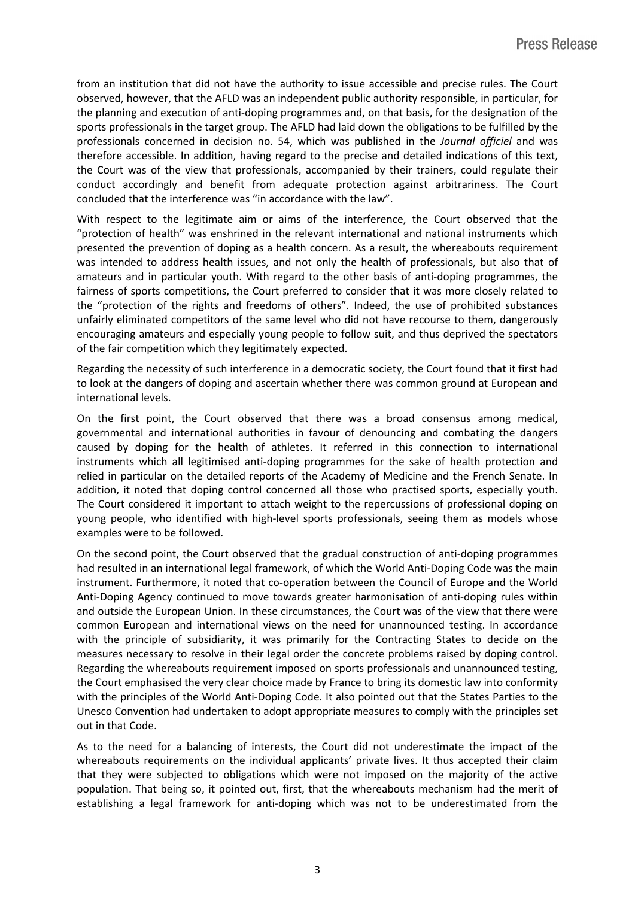from an institution that did not have the authority to issue accessible and precise rules. The Court observed, however, that the AFLD was an independent public authority responsible, in particular, for the planning and execution of anti-doping programmes and, on that basis, for the designation of the sports professionals in the target group. The AFLD had laid down the obligations to be fulfilled by the professionals concerned in decision no. 54, which was published in the *Journal officiel* and was therefore accessible. In addition, having regard to the precise and detailed indications of this text, the Court was of the view that professionals, accompanied by their trainers, could regulate their conduct accordingly and benefit from adequate protection against arbitrariness. The Court concluded that the interference was "in accordance with the law".

With respect to the legitimate aim or aims of the interference, the Court observed that the "protection of health" was enshrined in the relevant international and national instruments which presented the prevention of doping as a health concern. As a result, the whereabouts requirement was intended to address health issues, and not only the health of professionals, but also that of amateurs and in particular youth. With regard to the other basis of anti-doping programmes, the fairness of sports competitions, the Court preferred to consider that it was more closely related to the "protection of the rights and freedoms of others". Indeed, the use of prohibited substances unfairly eliminated competitors of the same level who did not have recourse to them, dangerously encouraging amateurs and especially young people to follow suit, and thus deprived the spectators of the fair competition which they legitimately expected.

Regarding the necessity of such interference in a democratic society, the Court found that it first had to look at the dangers of doping and ascertain whether there was common ground at European and international levels.

On the first point, the Court observed that there was a broad consensus among medical, governmental and international authorities in favour of denouncing and combating the dangers caused by doping for the health of athletes. It referred in this connection to international instruments which all legitimised anti-doping programmes for the sake of health protection and relied in particular on the detailed reports of the Academy of Medicine and the French Senate. In addition, it noted that doping control concerned all those who practised sports, especially youth. The Court considered it important to attach weight to the repercussions of professional doping on young people, who identified with high-level sports professionals, seeing them as models whose examples were to be followed.

On the second point, the Court observed that the gradual construction of anti-doping programmes had resulted in an international legal framework, of which the World Anti-Doping Code was the main instrument. Furthermore, it noted that co-operation between the Council of Europe and the World Anti-Doping Agency continued to move towards greater harmonisation of anti-doping rules within and outside the European Union. In these circumstances, the Court was of the view that there were common European and international views on the need for unannounced testing. In accordance with the principle of subsidiarity, it was primarily for the Contracting States to decide on the measures necessary to resolve in their legal order the concrete problems raised by doping control. Regarding the whereabouts requirement imposed on sports professionals and unannounced testing, the Court emphasised the very clear choice made by France to bring its domestic law into conformity with the principles of the World Anti-Doping Code. It also pointed out that the States Parties to the Unesco Convention had undertaken to adopt appropriate measures to comply with the principles set out in that Code.

As to the need for a balancing of interests, the Court did not underestimate the impact of the whereabouts requirements on the individual applicants' private lives. It thus accepted their claim that they were subjected to obligations which were not imposed on the majority of the active population. That being so, it pointed out, first, that the whereabouts mechanism had the merit of establishing a legal framework for anti-doping which was not to be underestimated from the